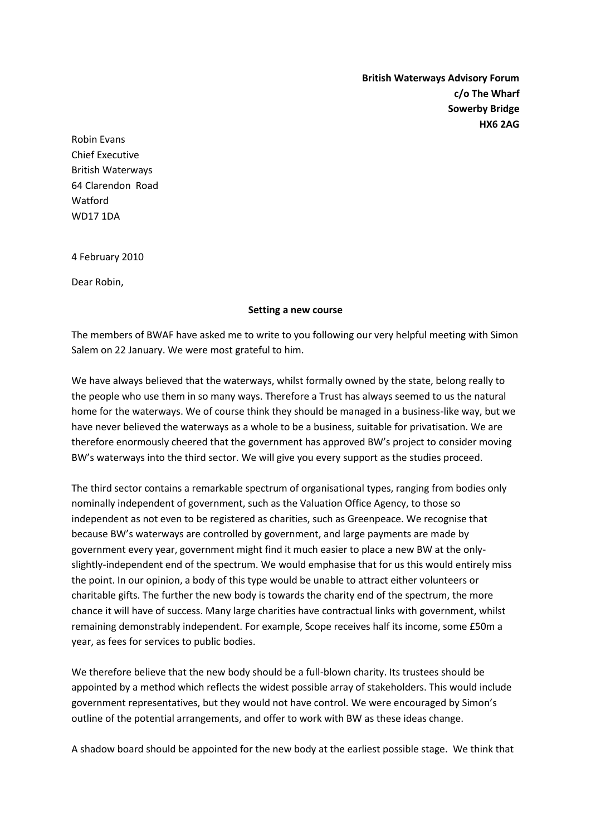**British Waterways Advisory Forum c/o The Wharf Sowerby Bridge HX6 2AG**

Robin Evans Chief Executive British Waterways 64 Clarendon Road Watford WD17 1DA

4 February 2010

Dear Robin,

## **Setting a new course**

The members of BWAF have asked me to write to you following our very helpful meeting with Simon Salem on 22 January. We were most grateful to him.

We have always believed that the waterways, whilst formally owned by the state, belong really to the people who use them in so many ways. Therefore a Trust has always seemed to us the natural home for the waterways. We of course think they should be managed in a business-like way, but we have never believed the waterways as a whole to be a business, suitable for privatisation. We are therefore enormously cheered that the government has approved BW's project to consider moving BW's waterways into the third sector. We will give you every support as the studies proceed.

The third sector contains a remarkable spectrum of organisational types, ranging from bodies only nominally independent of government, such as the Valuation Office Agency, to those so independent as not even to be registered as charities, such as Greenpeace. We recognise that because BW's waterways are controlled by government, and large payments are made by government every year, government might find it much easier to place a new BW at the onlyslightly-independent end of the spectrum. We would emphasise that for us this would entirely miss the point. In our opinion, a body of this type would be unable to attract either volunteers or charitable gifts. The further the new body is towards the charity end of the spectrum, the more chance it will have of success. Many large charities have contractual links with government, whilst remaining demonstrably independent. For example, Scope receives half its income, some £50m a year, as fees for services to public bodies.

We therefore believe that the new body should be a full-blown charity. Its trustees should be appointed by a method which reflects the widest possible array of stakeholders. This would include government representatives, but they would not have control. We were encouraged by Simon's outline of the potential arrangements, and offer to work with BW as these ideas change.

A shadow board should be appointed for the new body at the earliest possible stage. We think that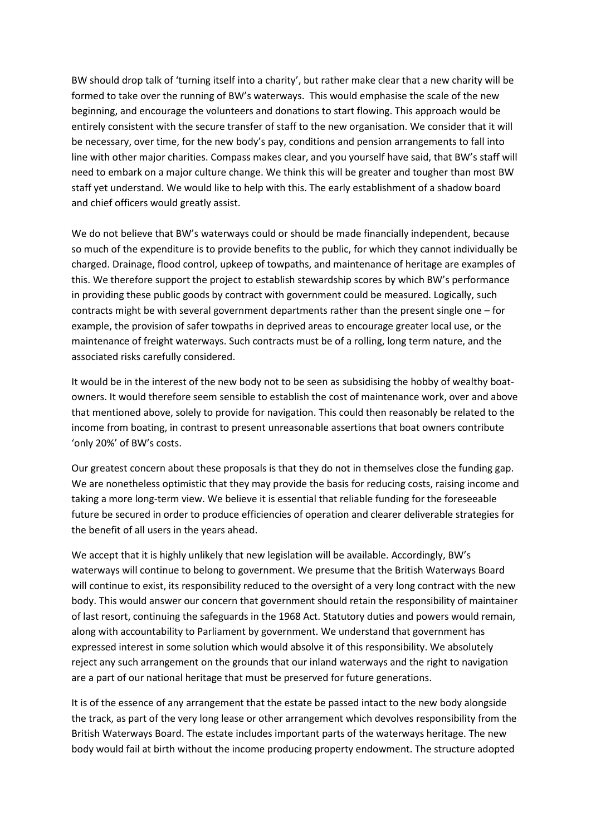BW should drop talk of 'turning itself into a charity', but rather make clear that a new charity will be formed to take over the running of BW's waterways. This would emphasise the scale of the new beginning, and encourage the volunteers and donations to start flowing. This approach would be entirely consistent with the secure transfer of staff to the new organisation. We consider that it will be necessary, over time, for the new body's pay, conditions and pension arrangements to fall into line with other major charities. Compass makes clear, and you yourself have said, that BW's staff will need to embark on a major culture change. We think this will be greater and tougher than most BW staff yet understand. We would like to help with this. The early establishment of a shadow board and chief officers would greatly assist.

We do not believe that BW's waterways could or should be made financially independent, because so much of the expenditure is to provide benefits to the public, for which they cannot individually be charged. Drainage, flood control, upkeep of towpaths, and maintenance of heritage are examples of this. We therefore support the project to establish stewardship scores by which BW's performance in providing these public goods by contract with government could be measured. Logically, such contracts might be with several government departments rather than the present single one – for example, the provision of safer towpaths in deprived areas to encourage greater local use, or the maintenance of freight waterways. Such contracts must be of a rolling, long term nature, and the associated risks carefully considered.

It would be in the interest of the new body not to be seen as subsidising the hobby of wealthy boatowners. It would therefore seem sensible to establish the cost of maintenance work, over and above that mentioned above, solely to provide for navigation. This could then reasonably be related to the income from boating, in contrast to present unreasonable assertions that boat owners contribute 'only 20%' of BW's costs.

Our greatest concern about these proposals is that they do not in themselves close the funding gap. We are nonetheless optimistic that they may provide the basis for reducing costs, raising income and taking a more long-term view. We believe it is essential that reliable funding for the foreseeable future be secured in order to produce efficiencies of operation and clearer deliverable strategies for the benefit of all users in the years ahead.

We accept that it is highly unlikely that new legislation will be available. Accordingly, BW's waterways will continue to belong to government. We presume that the British Waterways Board will continue to exist, its responsibility reduced to the oversight of a very long contract with the new body. This would answer our concern that government should retain the responsibility of maintainer of last resort, continuing the safeguards in the 1968 Act. Statutory duties and powers would remain, along with accountability to Parliament by government. We understand that government has expressed interest in some solution which would absolve it of this responsibility. We absolutely reject any such arrangement on the grounds that our inland waterways and the right to navigation are a part of our national heritage that must be preserved for future generations.

It is of the essence of any arrangement that the estate be passed intact to the new body alongside the track, as part of the very long lease or other arrangement which devolves responsibility from the British Waterways Board. The estate includes important parts of the waterways heritage. The new body would fail at birth without the income producing property endowment. The structure adopted